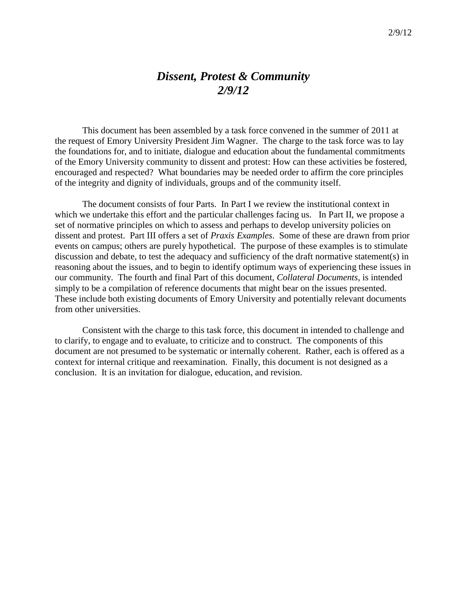# *Dissent, Protest & Community 2/9/12*

This document has been assembled by a task force convened in the summer of 2011 at the request of Emory University President Jim Wagner. The charge to the task force was to lay the foundations for, and to initiate, dialogue and education about the fundamental commitments of the Emory University community to dissent and protest: How can these activities be fostered, encouraged and respected? What boundaries may be needed order to affirm the core principles of the integrity and dignity of individuals, groups and of the community itself.

The document consists of four Parts. In Part I we review the institutional context in which we undertake this effort and the particular challenges facing us. In Part II, we propose a set of normative principles on which to assess and perhaps to develop university policies on dissent and protest. Part III offers a set of *Praxis Examples*. Some of these are drawn from prior events on campus; others are purely hypothetical. The purpose of these examples is to stimulate discussion and debate, to test the adequacy and sufficiency of the draft normative statement(s) in reasoning about the issues, and to begin to identify optimum ways of experiencing these issues in our community. The fourth and final Part of this document, *Collateral Documents*, is intended simply to be a compilation of reference documents that might bear on the issues presented. These include both existing documents of Emory University and potentially relevant documents from other universities.

Consistent with the charge to this task force, this document in intended to challenge and to clarify, to engage and to evaluate, to criticize and to construct. The components of this document are not presumed to be systematic or internally coherent. Rather, each is offered as a context for internal critique and reexamination. Finally, this document is not designed as a conclusion. It is an invitation for dialogue, education, and revision.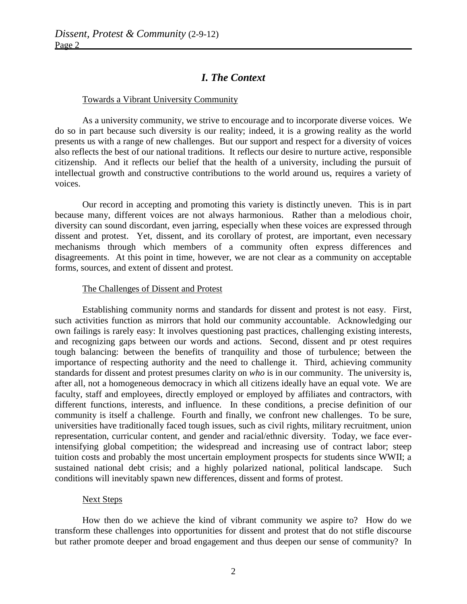## *I. The Context*

#### Towards a Vibrant University Community

As a university community, we strive to encourage and to incorporate diverse voices. We do so in part because such diversity is our reality; indeed, it is a growing reality as the world presents us with a range of new challenges. But our support and respect for a diversity of voices also reflects the best of our national traditions. It reflects our desire to nurture active, responsible citizenship. And it reflects our belief that the health of a university, including the pursuit of intellectual growth and constructive contributions to the world around us, requires a variety of voices.

Our record in accepting and promoting this variety is distinctly uneven. This is in part because many, different voices are not always harmonious. Rather than a melodious choir, diversity can sound discordant, even jarring, especially when these voices are expressed through dissent and protest. Yet, dissent, and its corollary of protest, are important, even necessary mechanisms through which members of a community often express differences and disagreements. At this point in time, however, we are not clear as a community on acceptable forms, sources, and extent of dissent and protest.

### The Challenges of Dissent and Protest

Establishing community norms and standards for dissent and protest is not easy. First, such activities function as mirrors that hold our community accountable. Acknowledging our own failings is rarely easy: It involves questioning past practices, challenging existing interests, and recognizing gaps between our words and actions. Second, dissent and pr otest requires tough balancing: between the benefits of tranquility and those of turbulence; between the importance of respecting authority and the need to challenge it. Third, achieving community standards for dissent and protest presumes clarity on *who* is in our community. The university is, after all, not a homogeneous democracy in which all citizens ideally have an equal vote. We are faculty, staff and employees, directly employed or employed by affiliates and contractors, with different functions, interests, and influence. In these conditions, a precise definition of our community is itself a challenge. Fourth and finally, we confront new challenges. To be sure, universities have traditionally faced tough issues, such as civil rights, military recruitment, union representation, curricular content, and gender and racial/ethnic diversity. Today, we face everintensifying global competition; the widespread and increasing use of contract labor; steep tuition costs and probably the most uncertain employment prospects for students since WWII; a sustained national debt crisis; and a highly polarized national, political landscape. Such conditions will inevitably spawn new differences, dissent and forms of protest.

### Next Steps

How then do we achieve the kind of vibrant community we aspire to? How do we transform these challenges into opportunities for dissent and protest that do not stifle discourse but rather promote deeper and broad engagement and thus deepen our sense of community? In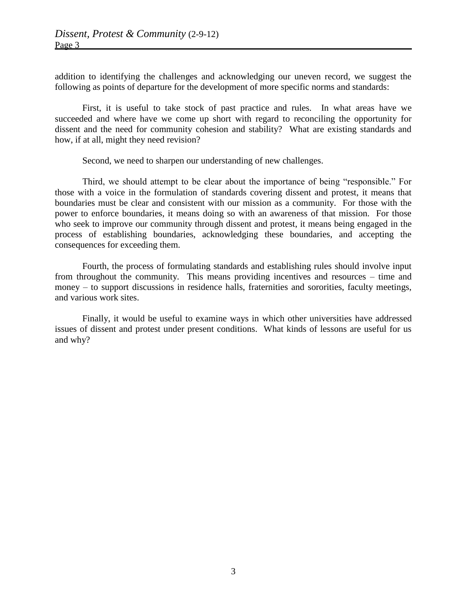addition to identifying the challenges and acknowledging our uneven record, we suggest the following as points of departure for the development of more specific norms and standards:

First, it is useful to take stock of past practice and rules. In what areas have we succeeded and where have we come up short with regard to reconciling the opportunity for dissent and the need for community cohesion and stability? What are existing standards and how, if at all, might they need revision?

Second, we need to sharpen our understanding of new challenges.

Third, we should attempt to be clear about the importance of being "responsible." For those with a voice in the formulation of standards covering dissent and protest, it means that boundaries must be clear and consistent with our mission as a community. For those with the power to enforce boundaries, it means doing so with an awareness of that mission. For those who seek to improve our community through dissent and protest, it means being engaged in the process of establishing boundaries, acknowledging these boundaries, and accepting the consequences for exceeding them.

Fourth, the process of formulating standards and establishing rules should involve input from throughout the community. This means providing incentives and resources – time and money – to support discussions in residence halls, fraternities and sororities, faculty meetings, and various work sites.

Finally, it would be useful to examine ways in which other universities have addressed issues of dissent and protest under present conditions. What kinds of lessons are useful for us and why?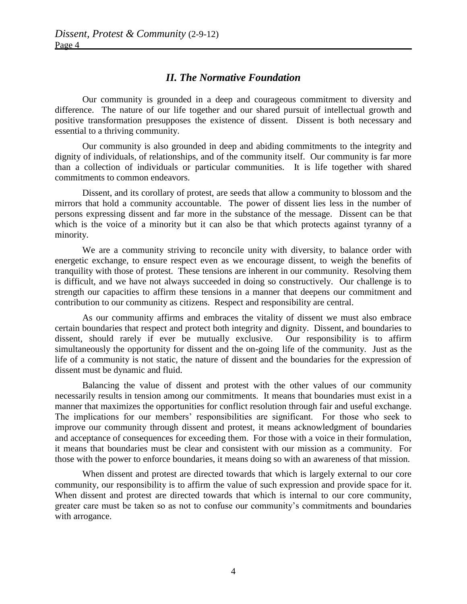## *II. The Normative Foundation*

Our community is grounded in a deep and courageous commitment to diversity and difference. The nature of our life together and our shared pursuit of intellectual growth and positive transformation presupposes the existence of dissent. Dissent is both necessary and essential to a thriving community.

Our community is also grounded in deep and abiding commitments to the integrity and dignity of individuals, of relationships, and of the community itself. Our community is far more than a collection of individuals or particular communities. It is life together with shared commitments to common endeavors.

Dissent, and its corollary of protest, are seeds that allow a community to blossom and the mirrors that hold a community accountable. The power of dissent lies less in the number of persons expressing dissent and far more in the substance of the message. Dissent can be that which is the voice of a minority but it can also be that which protects against tyranny of a minority.

We are a community striving to reconcile unity with diversity, to balance order with energetic exchange, to ensure respect even as we encourage dissent, to weigh the benefits of tranquility with those of protest. These tensions are inherent in our community. Resolving them is difficult, and we have not always succeeded in doing so constructively. Our challenge is to strength our capacities to affirm these tensions in a manner that deepens our commitment and contribution to our community as citizens. Respect and responsibility are central.

As our community affirms and embraces the vitality of dissent we must also embrace certain boundaries that respect and protect both integrity and dignity. Dissent, and boundaries to dissent, should rarely if ever be mutually exclusive. Our responsibility is to affirm simultaneously the opportunity for dissent and the on-going life of the community. Just as the life of a community is not static, the nature of dissent and the boundaries for the expression of dissent must be dynamic and fluid.

Balancing the value of dissent and protest with the other values of our community necessarily results in tension among our commitments. It means that boundaries must exist in a manner that maximizes the opportunities for conflict resolution through fair and useful exchange. The implications for our members' responsibilities are significant. For those who seek to improve our community through dissent and protest, it means acknowledgment of boundaries and acceptance of consequences for exceeding them. For those with a voice in their formulation, it means that boundaries must be clear and consistent with our mission as a community. For those with the power to enforce boundaries, it means doing so with an awareness of that mission.

When dissent and protest are directed towards that which is largely external to our core community, our responsibility is to affirm the value of such expression and provide space for it. When dissent and protest are directed towards that which is internal to our core community, greater care must be taken so as not to confuse our community's commitments and boundaries with arrogance.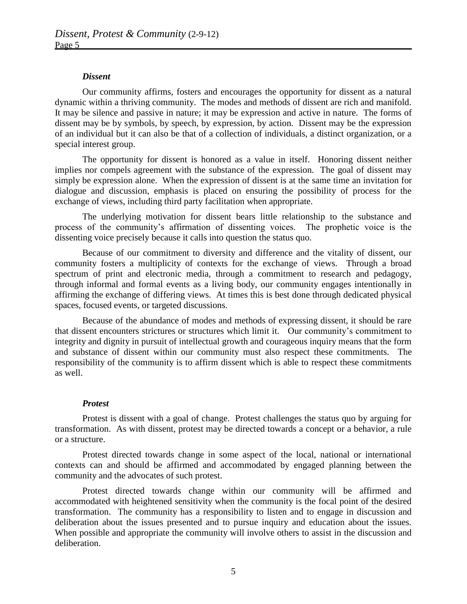### *Dissent*

Our community affirms, fosters and encourages the opportunity for dissent as a natural dynamic within a thriving community. The modes and methods of dissent are rich and manifold. It may be silence and passive in nature; it may be expression and active in nature. The forms of dissent may be by symbols, by speech, by expression, by action. Dissent may be the expression of an individual but it can also be that of a collection of individuals, a distinct organization, or a special interest group.

The opportunity for dissent is honored as a value in itself. Honoring dissent neither implies nor compels agreement with the substance of the expression. The goal of dissent may simply be expression alone. When the expression of dissent is at the same time an invitation for dialogue and discussion, emphasis is placed on ensuring the possibility of process for the exchange of views, including third party facilitation when appropriate.

The underlying motivation for dissent bears little relationship to the substance and process of the community's affirmation of dissenting voices. The prophetic voice is the dissenting voice precisely because it calls into question the status quo.

Because of our commitment to diversity and difference and the vitality of dissent, our community fosters a multiplicity of contexts for the exchange of views. Through a broad spectrum of print and electronic media, through a commitment to research and pedagogy, through informal and formal events as a living body, our community engages intentionally in affirming the exchange of differing views. At times this is best done through dedicated physical spaces, focused events, or targeted discussions.

Because of the abundance of modes and methods of expressing dissent, it should be rare that dissent encounters strictures or structures which limit it. Our community's commitment to integrity and dignity in pursuit of intellectual growth and courageous inquiry means that the form and substance of dissent within our community must also respect these commitments. The responsibility of the community is to affirm dissent which is able to respect these commitments as well.

### *Protest*

Protest is dissent with a goal of change. Protest challenges the status quo by arguing for transformation. As with dissent, protest may be directed towards a concept or a behavior, a rule or a structure.

Protest directed towards change in some aspect of the local, national or international contexts can and should be affirmed and accommodated by engaged planning between the community and the advocates of such protest.

Protest directed towards change within our community will be affirmed and accommodated with heightened sensitivity when the community is the focal point of the desired transformation. The community has a responsibility to listen and to engage in discussion and deliberation about the issues presented and to pursue inquiry and education about the issues. When possible and appropriate the community will involve others to assist in the discussion and deliberation.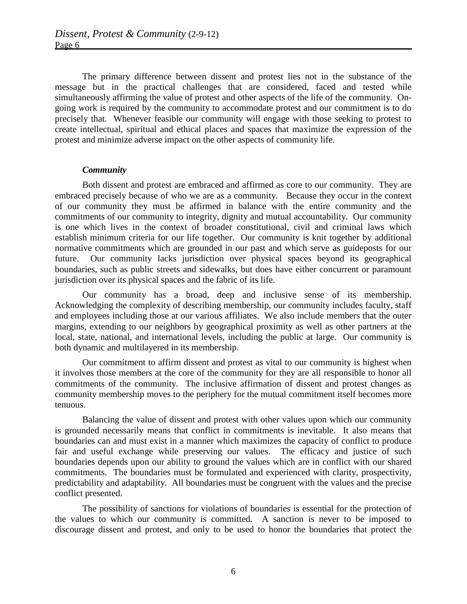The primary difference between dissent and protest lies not in the substance of the message but in the practical challenges that are considered, faced and tested while simultaneously affirming the value of protest and other aspects of the life of the community. Ongoing work is required by the community to accommodate protest and our commitment is to do precisely that. Whenever feasible our community will engage with those seeking to protest to create intellectual, spiritual and ethical places and spaces that maximize the expression of the protest and minimize adverse impact on the other aspects of community life.

### *Community*

Both dissent and protest are embraced and affirmed as core to our community. They are embraced precisely because of who we are as a community. Because they occur in the context of our community they must be affirmed in balance with the entire community and the commitments of our community to integrity, dignity and mutual accountability. Our community is one which lives in the context of broader constitutional, civil and criminal laws which establish minimum criteria for our life together. Our community is knit together by additional normative commitments which are grounded in our past and which serve as guideposts for our future. Our community lacks jurisdiction over physical spaces beyond its geographical boundaries, such as public streets and sidewalks, but does have either concurrent or paramount jurisdiction over its physical spaces and the fabric of its life.

Our community has a broad, deep and inclusive sense of its membership. Acknowledging the complexity of describing membership, our community includes faculty, staff and employees including those at our various affiliates. We also include members that the outer margins, extending to our neighbors by geographical proximity as well as other partners at the local, state, national, and international levels, including the public at large. Our community is both dynamic and multilayered in its membership.

Our commitment to affirm dissent and protest as vital to our community is highest when it involves those members at the core of the community for they are all responsible to honor all commitments of the community. The inclusive affirmation of dissent and protest changes as community membership moves to the periphery for the mutual commitment itself becomes more tenuous.

Balancing the value of dissent and protest with other values upon which our community is grounded necessarily means that conflict in commitments is inevitable. It also means that boundaries can and must exist in a manner which maximizes the capacity of conflict to produce fair and useful exchange while preserving our values. The efficacy and justice of such boundaries depends upon our ability to ground the values which are in conflict with our shared commitments. The boundaries must be formulated and experienced with clarity, prospectivity, predictability and adaptability. All boundaries must be congruent with the values and the precise conflict presented.

The possibility of sanctions for violations of boundaries is essential for the protection of the values to which our community is committed. A sanction is never to be imposed to discourage dissent and protest, and only to be used to honor the boundaries that protect the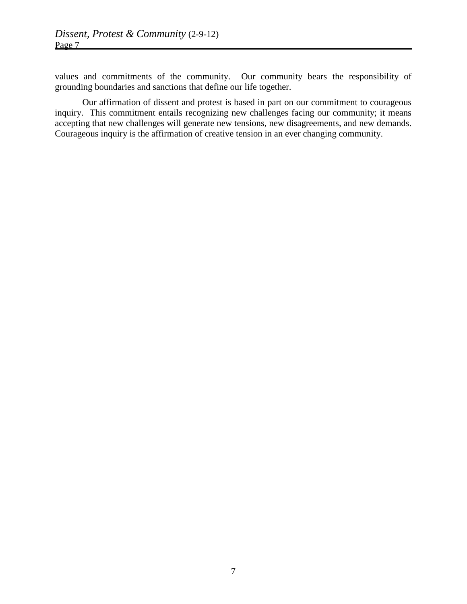values and commitments of the community. Our community bears the responsibility of grounding boundaries and sanctions that define our life together.

Our affirmation of dissent and protest is based in part on our commitment to courageous inquiry. This commitment entails recognizing new challenges facing our community; it means accepting that new challenges will generate new tensions, new disagreements, and new demands. Courageous inquiry is the affirmation of creative tension in an ever changing community.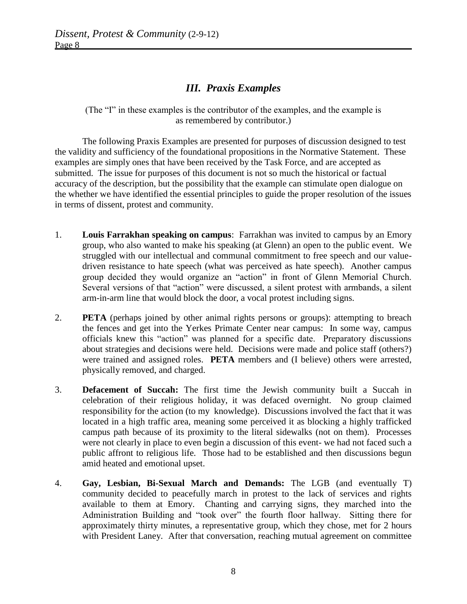# *III. Praxis Examples*

(The "I" in these examples is the contributor of the examples, and the example is as remembered by contributor.)

The following Praxis Examples are presented for purposes of discussion designed to test the validity and sufficiency of the foundational propositions in the Normative Statement. These examples are simply ones that have been received by the Task Force, and are accepted as submitted. The issue for purposes of this document is not so much the historical or factual accuracy of the description, but the possibility that the example can stimulate open dialogue on the whether we have identified the essential principles to guide the proper resolution of the issues in terms of dissent, protest and community.

- 1. **Louis Farrakhan speaking on campus**: Farrakhan was invited to campus by an Emory group, who also wanted to make his speaking (at Glenn) an open to the public event. We struggled with our intellectual and communal commitment to free speech and our valuedriven resistance to hate speech (what was perceived as hate speech). Another campus group decided they would organize an "action" in front of Glenn Memorial Church. Several versions of that "action" were discussed, a silent protest with armbands, a silent arm-in-arm line that would block the door, a vocal protest including signs.
- 2. **PETA** (perhaps joined by other animal rights persons or groups): attempting to breach the fences and get into the Yerkes Primate Center near campus: In some way, campus officials knew this "action" was planned for a specific date. Preparatory discussions about strategies and decisions were held. Decisions were made and police staff (others?) were trained and assigned roles. **PETA** members and (I believe) others were arrested, physically removed, and charged.
- 3. **Defacement of Succah:** The first time the Jewish community built a Succah in celebration of their religious holiday, it was defaced overnight. No group claimed responsibility for the action (to my knowledge). Discussions involved the fact that it was located in a high traffic area, meaning some perceived it as blocking a highly trafficked campus path because of its proximity to the literal sidewalks (not on them). Processes were not clearly in place to even begin a discussion of this event- we had not faced such a public affront to religious life. Those had to be established and then discussions begun amid heated and emotional upset.
- 4. **Gay, Lesbian, Bi-Sexual March and Demands:** The LGB (and eventually T) community decided to peacefully march in protest to the lack of services and rights available to them at Emory. Chanting and carrying signs, they marched into the Administration Building and "took over" the fourth floor hallway. Sitting there for approximately thirty minutes, a representative group, which they chose, met for 2 hours with President Laney. After that conversation, reaching mutual agreement on committee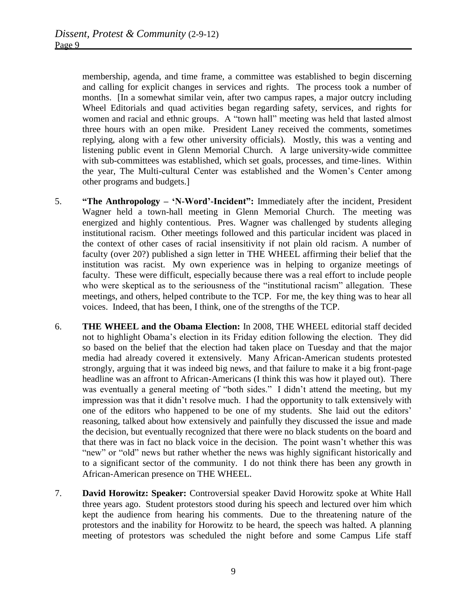membership, agenda, and time frame, a committee was established to begin discerning and calling for explicit changes in services and rights. The process took a number of months. [In a somewhat similar vein, after two campus rapes, a major outcry including Wheel Editorials and quad activities began regarding safety, services, and rights for women and racial and ethnic groups. A "town hall" meeting was held that lasted almost three hours with an open mike. President Laney received the comments, sometimes replying, along with a few other university officials). Mostly, this was a venting and listening public event in Glenn Memorial Church. A large university-wide committee with sub-committees was established, which set goals, processes, and time-lines. Within the year, The Multi-cultural Center was established and the Women's Center among other programs and budgets.]

- 5. **"The Anthropology – 'N-Word'-Incident":** Immediately after the incident, President Wagner held a town-hall meeting in Glenn Memorial Church. The meeting was energized and highly contentious. Pres. Wagner was challenged by students alleging institutional racism. Other meetings followed and this particular incident was placed in the context of other cases of racial insensitivity if not plain old racism. A number of faculty (over 20?) published a sign letter in THE WHEEL affirming their belief that the institution was racist. My own experience was in helping to organize meetings of faculty. These were difficult, especially because there was a real effort to include people who were skeptical as to the seriousness of the "institutional racism" allegation. These meetings, and others, helped contribute to the TCP. For me, the key thing was to hear all voices. Indeed, that has been, I think, one of the strengths of the TCP.
- 6. **THE WHEEL and the Obama Election:** In 2008, THE WHEEL editorial staff decided not to highlight Obama's election in its Friday edition following the election. They did so based on the belief that the election had taken place on Tuesday and that the major media had already covered it extensively. Many African-American students protested strongly, arguing that it was indeed big news, and that failure to make it a big front-page headline was an affront to African-Americans (I think this was how it played out). There was eventually a general meeting of "both sides." I didn't attend the meeting, but my impression was that it didn't resolve much. I had the opportunity to talk extensively with one of the editors who happened to be one of my students. She laid out the editors' reasoning, talked about how extensively and painfully they discussed the issue and made the decision, but eventually recognized that there were no black students on the board and that there was in fact no black voice in the decision. The point wasn't whether this was "new" or "old" news but rather whether the news was highly significant historically and to a significant sector of the community. I do not think there has been any growth in African-American presence on THE WHEEL.
- 7. **David Horowitz: Speaker:** Controversial speaker David Horowitz spoke at White Hall three years ago. Student protestors stood during his speech and lectured over him which kept the audience from hearing his comments. Due to the threatening nature of the protestors and the inability for Horowitz to be heard, the speech was halted. A planning meeting of protestors was scheduled the night before and some Campus Life staff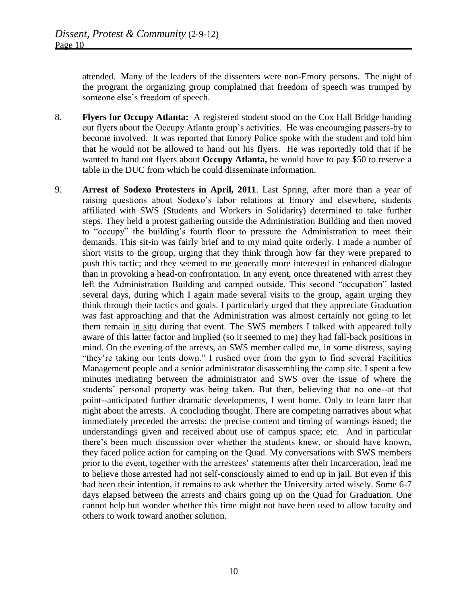attended. Many of the leaders of the dissenters were non-Emory persons. The night of the program the organizing group complained that freedom of speech was trumped by someone else's freedom of speech.

- 8. **Flyers for Occupy Atlanta:** A registered student stood on the Cox Hall Bridge handing out flyers about the Occupy Atlanta group's activities. He was encouraging passers-by to become involved. It was reported that Emory Police spoke with the student and told him that he would not be allowed to hand out his flyers. He was reportedly told that if he wanted to hand out flyers about **Occupy Atlanta,** he would have to pay \$50 to reserve a table in the DUC from which he could disseminate information.
- 9. **Arrest of Sodexo Protesters in April, 2011**. Last Spring, after more than a year of raising questions about Sodexo's labor relations at Emory and elsewhere, students affiliated with SWS (Students and Workers in Solidarity) determined to take further steps. They held a protest gathering outside the Administration Building and then moved to "occupy" the building's fourth floor to pressure the Administration to meet their demands. This sit-in was fairly brief and to my mind quite orderly. I made a number of short visits to the group, urging that they think through how far they were prepared to push this tactic; and they seemed to me generally more interested in enhanced dialogue than in provoking a head-on confrontation. In any event, once threatened with arrest they left the Administration Building and camped outside. This second "occupation" lasted several days, during which I again made several visits to the group, again urging they think through their tactics and goals. I particularly urged that they appreciate Graduation was fast approaching and that the Administration was almost certainly not going to let them remain in situ during that event. The SWS members I talked with appeared fully aware of this latter factor and implied (so it seemed to me) they had fall-back positions in mind. On the evening of the arrests, an SWS member called me, in some distress, saying "they're taking our tents down." I rushed over from the gym to find several Facilities Management people and a senior administrator disassembling the camp site. I spent a few minutes mediating between the administrator and SWS over the issue of where the students' personal property was being taken. But then, believing that no one--at that point--anticipated further dramatic developments, I went home. Only to learn later that night about the arrests. A concluding thought. There are competing narratives about what immediately preceded the arrests: the precise content and timing of warnings issued; the understandings given and received about use of campus space; etc. And in particular there's been much discussion over whether the students knew, or should have known, they faced police action for camping on the Quad. My conversations with SWS members prior to the event, together with the arrestees' statements after their incarceration, lead me to believe those arrested had not self-consciously aimed to end up in jail. But even if this had been their intention, it remains to ask whether the University acted wisely. Some 6-7 days elapsed between the arrests and chairs going up on the Quad for Graduation. One cannot help but wonder whether this time might not have been used to allow faculty and others to work toward another solution.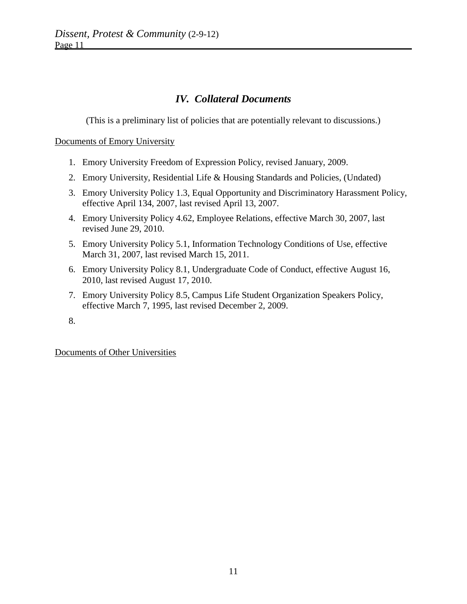# *IV. Collateral Documents*

(This is a preliminary list of policies that are potentially relevant to discussions.)

### Documents of Emory University

- 1. Emory University Freedom of Expression Policy, revised January, 2009.
- 2. Emory University, Residential Life & Housing Standards and Policies, (Undated)
- 3. Emory University Policy 1.3, Equal Opportunity and Discriminatory Harassment Policy, effective April 134, 2007, last revised April 13, 2007.
- 4. Emory University Policy 4.62, Employee Relations, effective March 30, 2007, last revised June 29, 2010.
- 5. Emory University Policy 5.1, Information Technology Conditions of Use, effective March 31, 2007, last revised March 15, 2011.
- 6. Emory University Policy 8.1, Undergraduate Code of Conduct, effective August 16, 2010, last revised August 17, 2010.
- 7. Emory University Policy 8.5, Campus Life Student Organization Speakers Policy, effective March 7, 1995, last revised December 2, 2009.
- 8.

Documents of Other Universities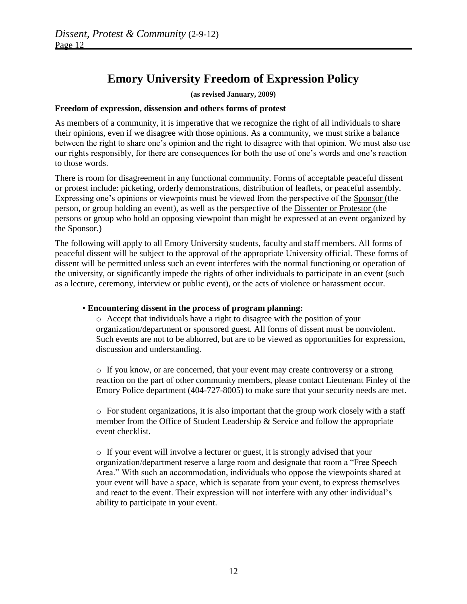# **Emory University Freedom of Expression Policy**

### **(as revised January, 2009)**

### **Freedom of expression, dissension and others forms of protest**

As members of a community, it is imperative that we recognize the right of all individuals to share their opinions, even if we disagree with those opinions. As a community, we must strike a balance between the right to share one's opinion and the right to disagree with that opinion. We must also use our rights responsibly, for there are consequences for both the use of one's words and one's reaction to those words.

There is room for disagreement in any functional community. Forms of acceptable peaceful dissent or protest include: picketing, orderly demonstrations, distribution of leaflets, or peaceful assembly. Expressing one's opinions or viewpoints must be viewed from the perspective of the Sponsor (the person, or group holding an event), as well as the perspective of the Dissenter or Protestor (the persons or group who hold an opposing viewpoint than might be expressed at an event organized by the Sponsor.)

The following will apply to all Emory University students, faculty and staff members. All forms of peaceful dissent will be subject to the approval of the appropriate University official. These forms of dissent will be permitted unless such an event interferes with the normal functioning or operation of the university, or significantly impede the rights of other individuals to participate in an event (such as a lecture, ceremony, interview or public event), or the acts of violence or harassment occur.

### • **Encountering dissent in the process of program planning:**

o Accept that individuals have a right to disagree with the position of your organization/department or sponsored guest. All forms of dissent must be nonviolent. Such events are not to be abhorred, but are to be viewed as opportunities for expression, discussion and understanding.

 $\circ$  If you know, or are concerned, that your event may create controversy or a strong reaction on the part of other community members, please contact Lieutenant Finley of the Emory Police department (404-727-8005) to make sure that your security needs are met.

o For student organizations, it is also important that the group work closely with a staff member from the Office of Student Leadership  $\&$  Service and follow the appropriate event checklist.

o If your event will involve a lecturer or guest, it is strongly advised that your organization/department reserve a large room and designate that room a "Free Speech Area." With such an accommodation, individuals who oppose the viewpoints shared at your event will have a space, which is separate from your event, to express themselves and react to the event. Their expression will not interfere with any other individual's ability to participate in your event.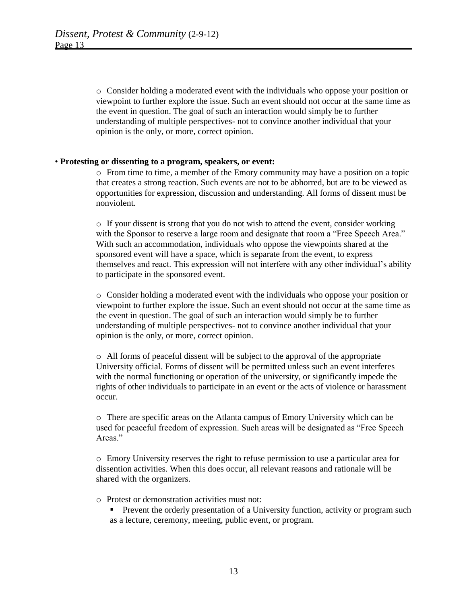o Consider holding a moderated event with the individuals who oppose your position or viewpoint to further explore the issue. Such an event should not occur at the same time as the event in question. The goal of such an interaction would simply be to further understanding of multiple perspectives- not to convince another individual that your opinion is the only, or more, correct opinion.

#### • **Protesting or dissenting to a program, speakers, or event:**

o From time to time, a member of the Emory community may have a position on a topic that creates a strong reaction. Such events are not to be abhorred, but are to be viewed as opportunities for expression, discussion and understanding. All forms of dissent must be nonviolent.

o If your dissent is strong that you do not wish to attend the event, consider working with the Sponsor to reserve a large room and designate that room a "Free Speech Area." With such an accommodation, individuals who oppose the viewpoints shared at the sponsored event will have a space, which is separate from the event, to express themselves and react. This expression will not interfere with any other individual's ability to participate in the sponsored event.

o Consider holding a moderated event with the individuals who oppose your position or viewpoint to further explore the issue. Such an event should not occur at the same time as the event in question. The goal of such an interaction would simply be to further understanding of multiple perspectives- not to convince another individual that your opinion is the only, or more, correct opinion.

o All forms of peaceful dissent will be subject to the approval of the appropriate University official. Forms of dissent will be permitted unless such an event interferes with the normal functioning or operation of the university, or significantly impede the rights of other individuals to participate in an event or the acts of violence or harassment occur.

o There are specific areas on the Atlanta campus of Emory University which can be used for peaceful freedom of expression. Such areas will be designated as "Free Speech Areas."

o Emory University reserves the right to refuse permission to use a particular area for dissention activities. When this does occur, all relevant reasons and rationale will be shared with the organizers.

- o Protest or demonstration activities must not:
	- **Prevent the orderly presentation of a University function, activity or program such** as a lecture, ceremony, meeting, public event, or program.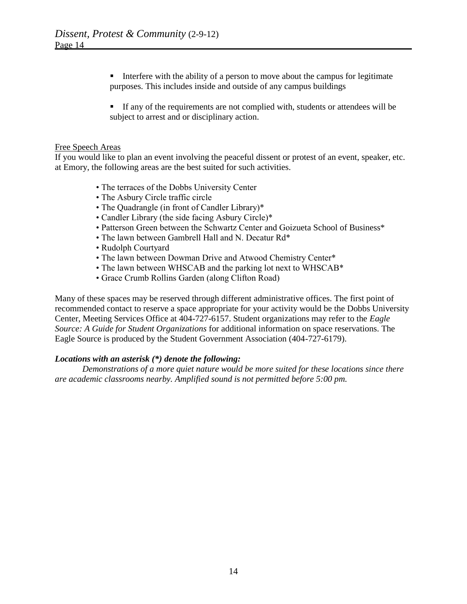Interfere with the ability of a person to move about the campus for legitimate purposes. This includes inside and outside of any campus buildings

If any of the requirements are not complied with, students or attendees will be subject to arrest and or disciplinary action.

### Free Speech Areas

If you would like to plan an event involving the peaceful dissent or protest of an event, speaker, etc. at Emory, the following areas are the best suited for such activities.

- The terraces of the Dobbs University Center
- The Asbury Circle traffic circle
- The Quadrangle (in front of Candler Library)\*
- Candler Library (the side facing Asbury Circle)\*
- Patterson Green between the Schwartz Center and Goizueta School of Business\*
- The lawn between Gambrell Hall and N. Decatur Rd\*
- Rudolph Courtyard
- The lawn between Dowman Drive and Atwood Chemistry Center\*
- The lawn between WHSCAB and the parking lot next to WHSCAB\*
- Grace Crumb Rollins Garden (along Clifton Road)

Many of these spaces may be reserved through different administrative offices. The first point of recommended contact to reserve a space appropriate for your activity would be the Dobbs University Center, Meeting Services Office at 404-727-6157. Student organizations may refer to the *Eagle Source: A Guide for Student Organizations* for additional information on space reservations. The Eagle Source is produced by the Student Government Association (404-727-6179).

### *Locations with an asterisk (\*) denote the following:*

*Demonstrations of a more quiet nature would be more suited for these locations since there are academic classrooms nearby. Amplified sound is not permitted before 5:00 pm.*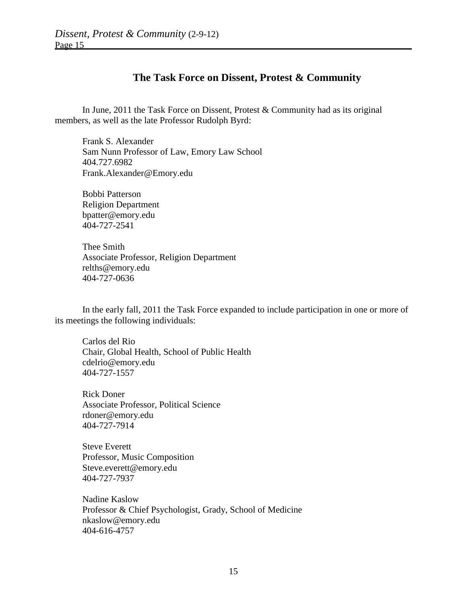## **The Task Force on Dissent, Protest & Community**

In June, 2011 the Task Force on Dissent, Protest & Community had as its original members, as well as the late Professor Rudolph Byrd:

Frank S. Alexander Sam Nunn Professor of Law, Emory Law School 404.727.6982 Frank.Alexander@Emory.edu

Bobbi Patterson Religion Department bpatter@emory.edu 404-727-2541

Thee Smith Associate Professor, Religion Department relths@emory.edu 404-727-0636

In the early fall, 2011 the Task Force expanded to include participation in one or more of its meetings the following individuals:

Carlos del Rio Chair, Global Health, School of Public Health cdelrio@emory.edu 404-727-1557

Rick Doner Associate Professor, Political Science rdoner@emory.edu 404-727-7914

Steve Everett Professor, Music Composition Steve.everett@emory.edu 404-727-7937

Nadine Kaslow Professor & Chief Psychologist, Grady, School of Medicine nkaslow@emory.edu 404-616-4757